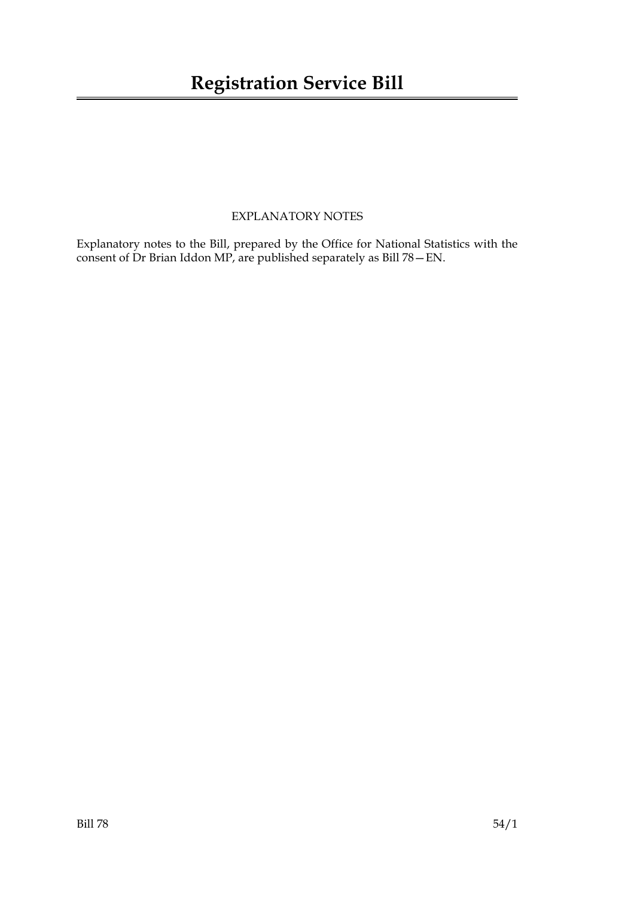#### EXPLANATORY NOTES

Explanatory notes to the Bill, prepared by the Office for National Statistics with the consent of Dr Brian Iddon MP, are published separately as Bill 78—EN.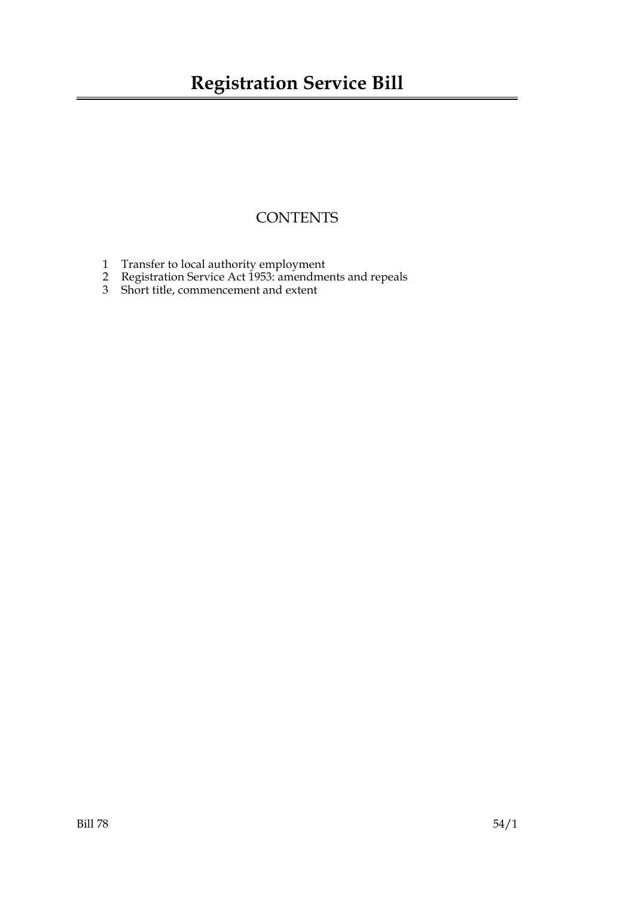### **CONTENTS**

- 1 Transfer to local authority employment
- 2 Registration Service Act 1953: amendments and repeals
- 3 Short title, commencement and extent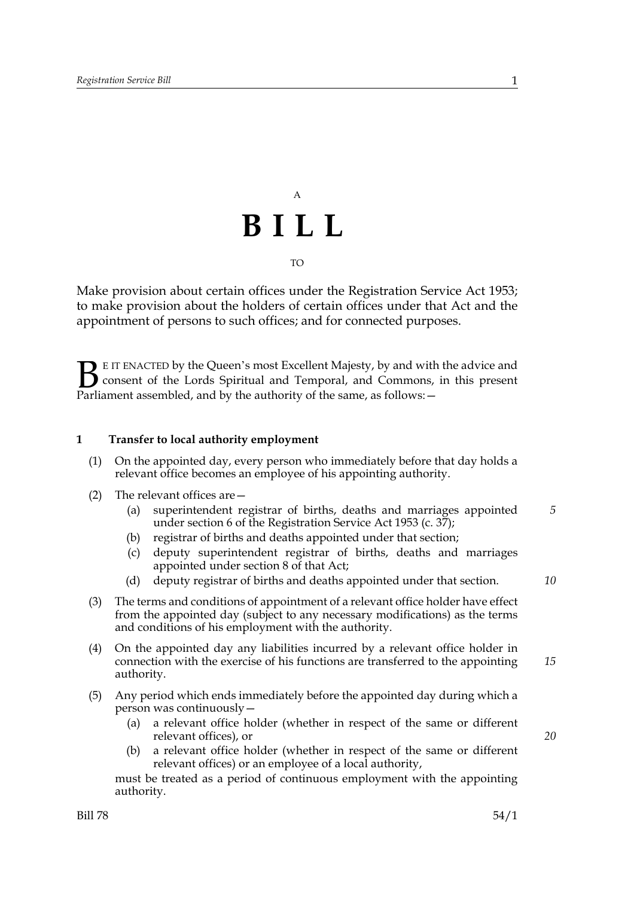# A **BILL** TO

Make provision about certain offices under the Registration Service Act 1953; to make provision about the holders of certain offices under that Act and the appointment of persons to such offices; and for connected purposes.

E IT ENACTED by the Queen's most Excellent Majesty, by and with the advice and consent of the Lords Spiritual and Temporal, and Commons, in this present Parliament assembled, and by the authority of the same, as follows:  $\mathbf{B}_{\text{rel}}$ 

#### **1 Transfer to local authority employment**

- (1) On the appointed day, every person who immediately before that day holds a relevant office becomes an employee of his appointing authority.
- (2) The relevant offices are—
	- (a) superintendent registrar of births, deaths and marriages appointed under section 6 of the Registration Service Act 1953 (c. 37); *5*
	- (b) registrar of births and deaths appointed under that section;
	- (c) deputy superintendent registrar of births, deaths and marriages appointed under section 8 of that Act;
	- (d) deputy registrar of births and deaths appointed under that section.
- (3) The terms and conditions of appointment of a relevant office holder have effect from the appointed day (subject to any necessary modifications) as the terms and conditions of his employment with the authority.
- (4) On the appointed day any liabilities incurred by a relevant office holder in connection with the exercise of his functions are transferred to the appointing authority. *15*
- (5) Any period which ends immediately before the appointed day during which a person was continuously—
	- (a) a relevant office holder (whether in respect of the same or different relevant offices), or
	- (b) a relevant office holder (whether in respect of the same or different relevant offices) or an employee of a local authority,

must be treated as a period of continuous employment with the appointing authority.

*20*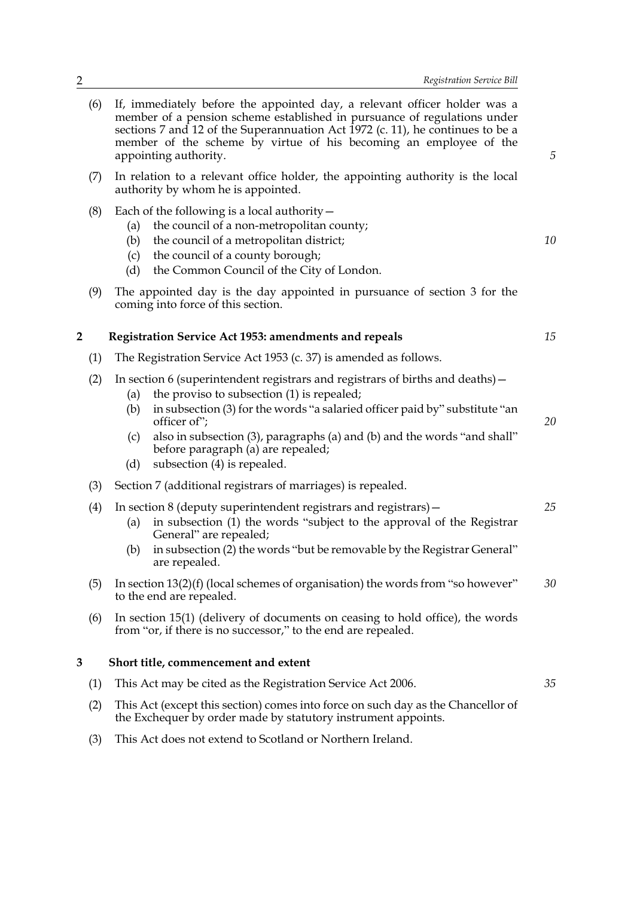| (6) | If, immediately before the appointed day, a relevant officer holder was a<br>member of a pension scheme established in pursuance of regulations under<br>sections 7 and 12 of the Superannuation Act 1972 (c. 11), he continues to be a<br>member of the scheme by virtue of his becoming an employee of the<br>appointing authority.                              | 5  |
|-----|--------------------------------------------------------------------------------------------------------------------------------------------------------------------------------------------------------------------------------------------------------------------------------------------------------------------------------------------------------------------|----|
| (7) | In relation to a relevant office holder, the appointing authority is the local<br>authority by whom he is appointed.                                                                                                                                                                                                                                               |    |
| (8) | Each of the following is a local authority $-$<br>the council of a non-metropolitan county;<br>(a)<br>the council of a metropolitan district;<br>(b)<br>the council of a county borough;<br>(c)<br>the Common Council of the City of London.<br>(d)                                                                                                                | 10 |
| (9) | The appointed day is the day appointed in pursuance of section 3 for the<br>coming into force of this section.                                                                                                                                                                                                                                                     |    |
| 2   | Registration Service Act 1953: amendments and repeals                                                                                                                                                                                                                                                                                                              | 15 |
| (1) | The Registration Service Act 1953 (c. 37) is amended as follows.                                                                                                                                                                                                                                                                                                   |    |
| (2) | In section 6 (superintendent registrars and registrars of births and deaths) –<br>the proviso to subsection (1) is repealed;<br>(a)<br>in subsection (3) for the words "a salaried officer paid by" substitute "an<br>(b)<br>officer of";<br>also in subsection (3), paragraphs (a) and (b) and the words "and shall"<br>(c)<br>before paragraph (a) are repealed; | 20 |
|     | subsection (4) is repealed.<br>(d)                                                                                                                                                                                                                                                                                                                                 |    |
| (3) | Section 7 (additional registrars of marriages) is repealed.                                                                                                                                                                                                                                                                                                        |    |
| (4) | In section 8 (deputy superintendent registrars and registrars) -<br>in subsection (1) the words "subject to the approval of the Registrar<br>(a)<br>General" are repealed;<br>in subsection (2) the words "but be removable by the Registrar General"<br>(b)<br>are repealed.                                                                                      | 25 |
| (5) | In section $13(2)(f)$ (local schemes of organisation) the words from "so however"<br>to the end are repealed.                                                                                                                                                                                                                                                      | 30 |
| (6) | In section 15(1) (delivery of documents on ceasing to hold office), the words<br>from "or, if there is no successor," to the end are repealed.                                                                                                                                                                                                                     |    |
| 3   | Short title, commencement and extent                                                                                                                                                                                                                                                                                                                               |    |
| (1) | This Act may be cited as the Registration Service Act 2006.                                                                                                                                                                                                                                                                                                        | 35 |
| (2) | This Act (except this section) comes into force on such day as the Chancellor of<br>the Exchequer by order made by statutory instrument appoints.                                                                                                                                                                                                                  |    |

(3) This Act does not extend to Scotland or Northern Ireland.